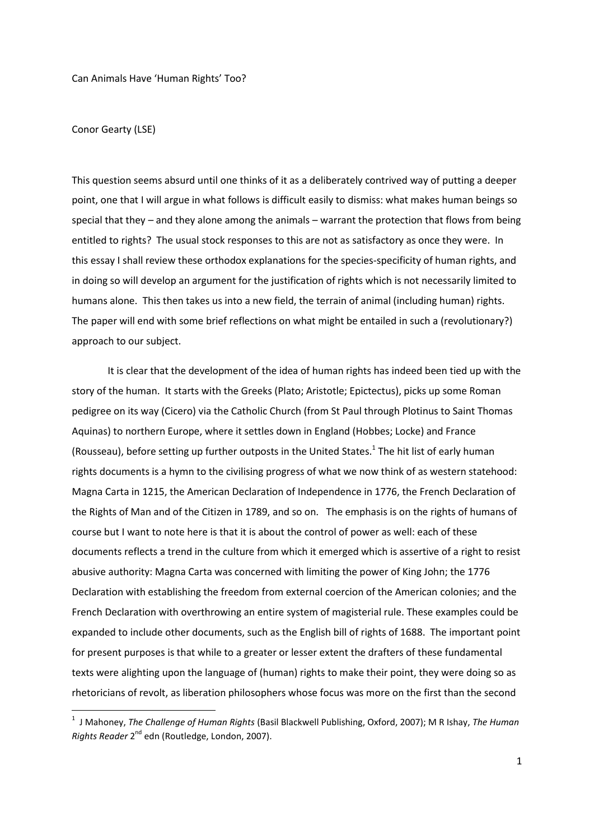Can Animals Have 'Human Rights' Too?

Conor Gearty (LSE)

This question seems absurd until one thinks of it as a deliberately contrived way of putting a deeper point, one that I will argue in what follows is difficult easily to dismiss: what makes human beings so special that they – and they alone among the animals – warrant the protection that flows from being entitled to rights? The usual stock responses to this are not as satisfactory as once they were. In this essay I shall review these orthodox explanations for the species-specificity of human rights, and in doing so will develop an argument for the justification of rights which is not necessarily limited to humans alone. This then takes us into a new field, the terrain of animal (including human) rights. The paper will end with some brief reflections on what might be entailed in such a (revolutionary?) approach to our subject.

It is clear that the development of the idea of human rights has indeed been tied up with the story of the human. It starts with the Greeks (Plato; Aristotle; Epictectus), picks up some Roman pedigree on its way (Cicero) via the Catholic Church (from St Paul through Plotinus to Saint Thomas Aquinas) to northern Europe, where it settles down in England (Hobbes; Locke) and France (Rousseau), before setting up further outposts in the United States.<sup>1</sup> The hit list of early human rights documents is a hymn to the civilising progress of what we now think of as western statehood: Magna Carta in 1215, the American Declaration of Independence in 1776, the French Declaration of the Rights of Man and of the Citizen in 1789, and so on. The emphasis is on the rights of humans of course but I want to note here is that it is about the control of power as well: each of these documents reflects a trend in the culture from which it emerged which is assertive of a right to resist abusive authority: Magna Carta was concerned with limiting the power of King John; the 1776 Declaration with establishing the freedom from external coercion of the American colonies; and the French Declaration with overthrowing an entire system of magisterial rule. These examples could be expanded to include other documents, such as the English bill of rights of 1688. The important point for present purposes is that while to a greater or lesser extent the drafters of these fundamental texts were alighting upon the language of (human) rights to make their point, they were doing so as rhetoricians of revolt, as liberation philosophers whose focus was more on the first than the second

 1 J Mahoney, *The Challenge of Human Rights* (Basil Blackwell Publishing, Oxford, 2007); M R Ishay, *The Human*  Rights Reader 2<sup>nd</sup> edn (Routledge, London, 2007).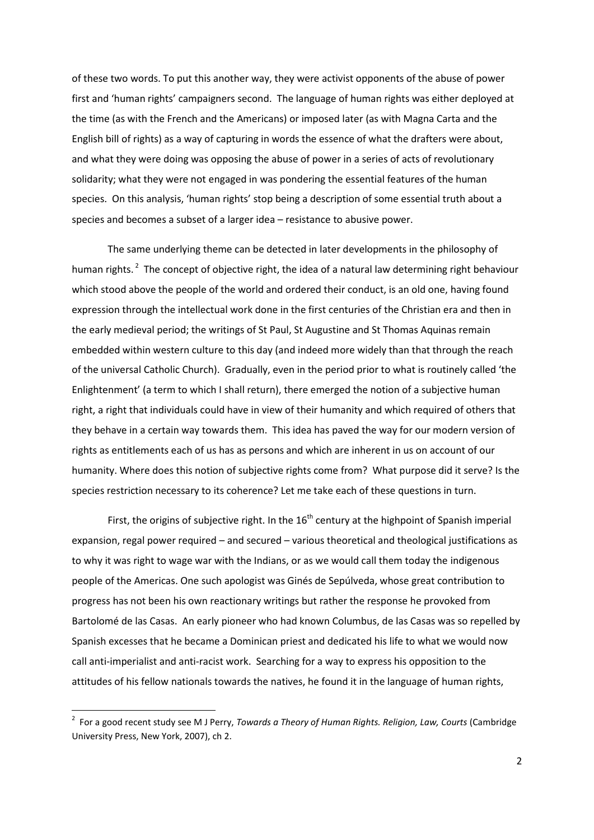of these two words. To put this another way, they were activist opponents of the abuse of power first and 'human rights' campaigners second. The language of human rights was either deployed at the time (as with the French and the Americans) or imposed later (as with Magna Carta and the English bill of rights) as a way of capturing in words the essence of what the drafters were about, and what they were doing was opposing the abuse of power in a series of acts of revolutionary solidarity; what they were not engaged in was pondering the essential features of the human species. On this analysis, 'human rights' stop being a description of some essential truth about a species and becomes a subset of a larger idea – resistance to abusive power.

The same underlying theme can be detected in later developments in the philosophy of human rights.<sup>2</sup> The concept of objective right, the idea of a natural law determining right behaviour which stood above the people of the world and ordered their conduct, is an old one, having found expression through the intellectual work done in the first centuries of the Christian era and then in the early medieval period; the writings of St Paul, St Augustine and St Thomas Aquinas remain embedded within western culture to this day (and indeed more widely than that through the reach of the universal Catholic Church). Gradually, even in the period prior to what is routinely called 'the Enlightenment' (a term to which I shall return), there emerged the notion of a subjective human right, a right that individuals could have in view of their humanity and which required of others that they behave in a certain way towards them. This idea has paved the way for our modern version of rights as entitlements each of us has as persons and which are inherent in us on account of our humanity. Where does this notion of subjective rights come from? What purpose did it serve? Is the species restriction necessary to its coherence? Let me take each of these questions in turn.

First, the origins of subjective right. In the  $16<sup>th</sup>$  century at the highpoint of Spanish imperial expansion, regal power required – and secured – various theoretical and theological justifications as to why it was right to wage war with the Indians, or as we would call them today the indigenous people of the Americas. One such apologist was Ginés de Sepúlveda, whose great contribution to progress has not been his own reactionary writings but rather the response he provoked from Bartolomé de las Casas. An early pioneer who had known Columbus, de las Casas was so repelled by Spanish excesses that he became a Dominican priest and dedicated his life to what we would now call anti-imperialist and anti-racist work. Searching for a way to express his opposition to the attitudes of his fellow nationals towards the natives, he found it in the language of human rights,

 2 For a good recent study see M J Perry, *Towards a Theory of Human Rights. Religion, Law, Courts* (Cambridge University Press, New York, 2007), ch 2.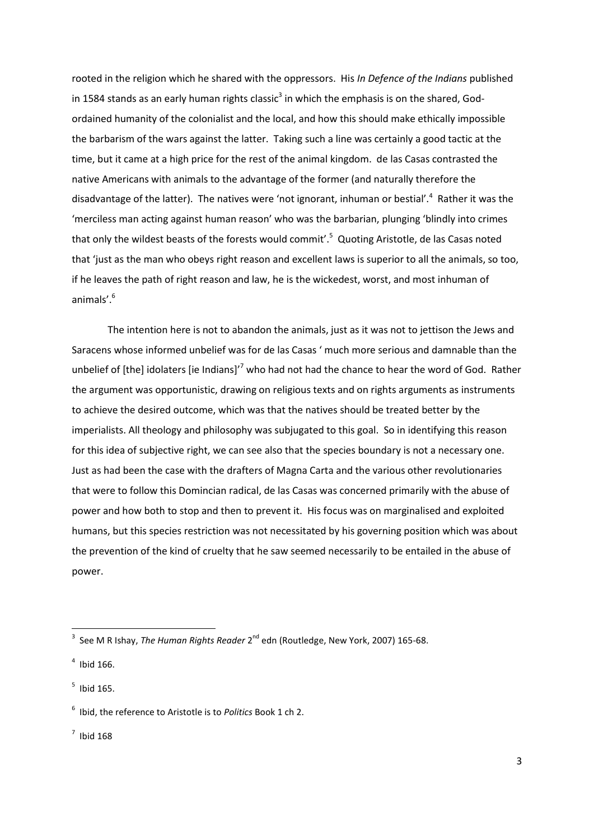rooted in the religion which he shared with the oppressors. His *In Defence of the Indians* published in 1584 stands as an early human rights classic<sup>3</sup> in which the emphasis is on the shared, Godordained humanity of the colonialist and the local, and how this should make ethically impossible the barbarism of the wars against the latter. Taking such a line was certainly a good tactic at the time, but it came at a high price for the rest of the animal kingdom. de las Casas contrasted the native Americans with animals to the advantage of the former (and naturally therefore the disadvantage of the latter). The natives were 'not ignorant, inhuman or bestial'.<sup>4</sup> Rather it was the 'merciless man acting against human reason' who was the barbarian, plunging 'blindly into crimes that only the wildest beasts of the forests would commit'.<sup>5</sup> Quoting Aristotle, de las Casas noted that 'just as the man who obeys right reason and excellent laws is superior to all the animals, so too, if he leaves the path of right reason and law, he is the wickedest, worst, and most inhuman of animals'.<sup>6</sup>

The intention here is not to abandon the animals, just as it was not to jettison the Jews and Saracens whose informed unbelief was for de las Casas ' much more serious and damnable than the unbelief of [the] idolaters [ie Indians]<sup>17</sup> who had not had the chance to hear the word of God. Rather the argument was opportunistic, drawing on religious texts and on rights arguments as instruments to achieve the desired outcome, which was that the natives should be treated better by the imperialists. All theology and philosophy was subjugated to this goal. So in identifying this reason for this idea of subjective right, we can see also that the species boundary is not a necessary one. Just as had been the case with the drafters of Magna Carta and the various other revolutionaries that were to follow this Domincian radical, de las Casas was concerned primarily with the abuse of power and how both to stop and then to prevent it. His focus was on marginalised and exploited humans, but this species restriction was not necessitated by his governing position which was about the prevention of the kind of cruelty that he saw seemed necessarily to be entailed in the abuse of power.

 $\overline{a}$ 

 $<sup>7</sup>$  Ibid 168</sup>

<sup>&</sup>lt;sup>3</sup> See M R Ishay, *The Human Rights Reader* 2<sup>nd</sup> edn (Routledge, New York, 2007) 165-68.

 $4$  Ibid 166.

 $<sup>5</sup>$  Ibid 165.</sup>

<sup>6</sup> Ibid, the reference to Aristotle is to *Politics* Book 1 ch 2.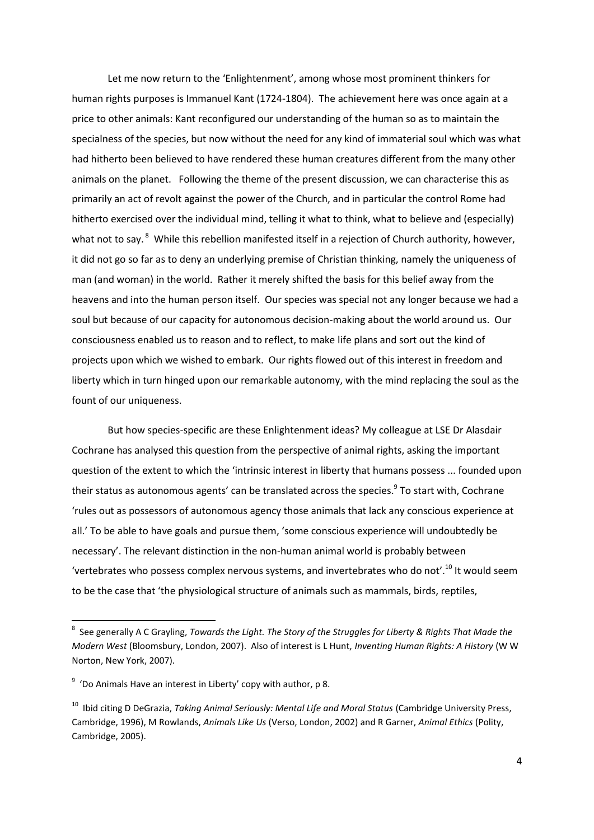Let me now return to the 'Enlightenment', among whose most prominent thinkers for human rights purposes is Immanuel Kant (1724-1804). The achievement here was once again at a price to other animals: Kant reconfigured our understanding of the human so as to maintain the specialness of the species, but now without the need for any kind of immaterial soul which was what had hitherto been believed to have rendered these human creatures different from the many other animals on the planet. Following the theme of the present discussion, we can characterise this as primarily an act of revolt against the power of the Church, and in particular the control Rome had hitherto exercised over the individual mind, telling it what to think, what to believe and (especially) what not to say. <sup>8</sup> While this rebellion manifested itself in a rejection of Church authority, however, it did not go so far as to deny an underlying premise of Christian thinking, namely the uniqueness of man (and woman) in the world. Rather it merely shifted the basis for this belief away from the heavens and into the human person itself. Our species was special not any longer because we had a soul but because of our capacity for autonomous decision-making about the world around us. Our consciousness enabled us to reason and to reflect, to make life plans and sort out the kind of projects upon which we wished to embark. Our rights flowed out of this interest in freedom and liberty which in turn hinged upon our remarkable autonomy, with the mind replacing the soul as the fount of our uniqueness.

But how species-specific are these Enlightenment ideas? My colleague at LSE Dr Alasdair Cochrane has analysed this question from the perspective of animal rights, asking the important question of the extent to which the 'intrinsic interest in liberty that humans possess ... founded upon their status as autonomous agents' can be translated across the species.<sup>9</sup> To start with, Cochrane 'rules out as possessors of autonomous agency those animals that lack any conscious experience at all.' To be able to have goals and pursue them, 'some conscious experience will undoubtedly be necessary'. The relevant distinction in the non-human animal world is probably between 'vertebrates who possess complex nervous systems, and invertebrates who do not'.<sup>10</sup> It would seem to be the case that 'the physiological structure of animals such as mammals, birds, reptiles,

**.** 

<sup>8</sup> See generally A C Grayling, *Towards the Light. The Story of the Struggles for Liberty & Rights That Made the Modern West* (Bloomsbury, London, 2007). Also of interest is L Hunt, *Inventing Human Rights: A History* (W W Norton, New York, 2007).

 $9\degree$  'Do Animals Have an interest in Liberty' copy with author, p 8.

<sup>&</sup>lt;sup>10</sup> Ibid citing D DeGrazia, *Taking Animal Seriously: Mental Life and Moral Status* (Cambridge University Press, Cambridge, 1996), M Rowlands, *Animals Like Us* (Verso, London, 2002) and R Garner, *Animal Ethics* (Polity, Cambridge, 2005).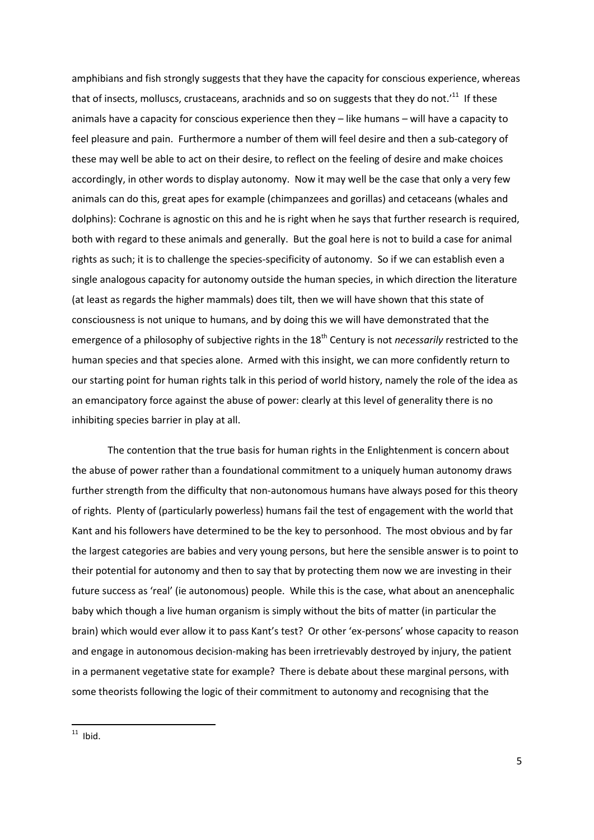amphibians and fish strongly suggests that they have the capacity for conscious experience, whereas that of insects, molluscs, crustaceans, arachnids and so on suggests that they do not.'<sup>11</sup> If these animals have a capacity for conscious experience then they – like humans – will have a capacity to feel pleasure and pain. Furthermore a number of them will feel desire and then a sub-category of these may well be able to act on their desire, to reflect on the feeling of desire and make choices accordingly, in other words to display autonomy. Now it may well be the case that only a very few animals can do this, great apes for example (chimpanzees and gorillas) and cetaceans (whales and dolphins): Cochrane is agnostic on this and he is right when he says that further research is required, both with regard to these animals and generally. But the goal here is not to build a case for animal rights as such; it is to challenge the species-specificity of autonomy. So if we can establish even a single analogous capacity for autonomy outside the human species, in which direction the literature (at least as regards the higher mammals) does tilt, then we will have shown that this state of consciousness is not unique to humans, and by doing this we will have demonstrated that the emergence of a philosophy of subjective rights in the 18<sup>th</sup> Century is not *necessarily* restricted to the human species and that species alone. Armed with this insight, we can more confidently return to our starting point for human rights talk in this period of world history, namely the role of the idea as an emancipatory force against the abuse of power: clearly at this level of generality there is no inhibiting species barrier in play at all.

The contention that the true basis for human rights in the Enlightenment is concern about the abuse of power rather than a foundational commitment to a uniquely human autonomy draws further strength from the difficulty that non-autonomous humans have always posed for this theory of rights. Plenty of (particularly powerless) humans fail the test of engagement with the world that Kant and his followers have determined to be the key to personhood. The most obvious and by far the largest categories are babies and very young persons, but here the sensible answer is to point to their potential for autonomy and then to say that by protecting them now we are investing in their future success as 'real' (ie autonomous) people. While this is the case, what about an anencephalic baby which though a live human organism is simply without the bits of matter (in particular the brain) which would ever allow it to pass Kant's test? Or other 'ex-persons' whose capacity to reason and engage in autonomous decision-making has been irretrievably destroyed by injury, the patient in a permanent vegetative state for example? There is debate about these marginal persons, with some theorists following the logic of their commitment to autonomy and recognising that the

 $\frac{11}{11}$  Ibid.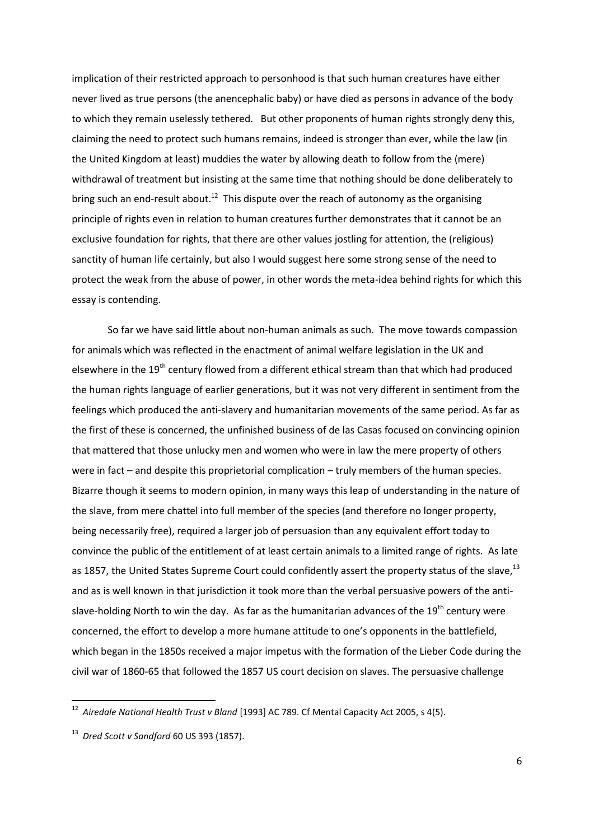implication of their restricted approach to personhood is that such human creatures have either never lived as true persons (the anencephalic baby) or have died as persons in advance of the body to which they remain uselessly tethered. But other proponents of human rights strongly deny this, claiming the need to protect such humans remains, indeed is stronger than ever, while the law (in the United Kingdom at least) muddies the water by allowing death to follow from the (mere) withdrawal of treatment but insisting at the same time that nothing should be done deliberately to bring such an end-result about.<sup>12</sup> This dispute over the reach of autonomy as the organising principle of rights even in relation to human creatures further demonstrates that it cannot be an exclusive foundation for rights, that there are other values jostling for attention, the (religious) sanctity of human life certainly, but also I would suggest here some strong sense of the need to protect the weak from the abuse of power, in other words the meta-idea behind rights for which this essay is contending.

So far we have said little about non-human animals as such. The move towards compassion for animals which was reflected in the enactment of animal welfare legislation in the UK and elsewhere in the 19<sup>th</sup> century flowed from a different ethical stream than that which had produced the human rights language of earlier generations, but it was not very different in sentiment from the feelings which produced the anti-slavery and humanitarian movements of the same period. As far as the first of these is concerned, the unfinished business of de las Casas focused on convincing opinion that mattered that those unlucky men and women who were in law the mere property of others were in fact – and despite this proprietorial complication – truly members of the human species. Bizarre though it seems to modern opinion, in many ways this leap of understanding in the nature of the slave, from mere chattel into full member of the species (and therefore no longer property, being necessarily free), required a larger job of persuasion than any equivalent effort today to convince the public of the entitlement of at least certain animals to a limited range of rights. As late as 1857, the United States Supreme Court could confidently assert the property status of the slave.<sup>13</sup> and as is well known in that jurisdiction it took more than the verbal persuasive powers of the antislave-holding North to win the day. As far as the humanitarian advances of the  $19^{th}$  century were concerned, the effort to develop a more humane attitude to one's opponents in the battlefield, which began in the 1850s received a major impetus with the formation of the Lieber Code during the civil war of 1860-65 that followed the 1857 US court decision on slaves. The persuasive challenge

**.** 

<sup>&</sup>lt;sup>12</sup> Airedale National Health Trust v Bland [1993] AC 789. Cf Mental Capacity Act 2005, s 4(5).

<sup>13</sup> *Dred Scott v Sandford* 60 US 393 (1857).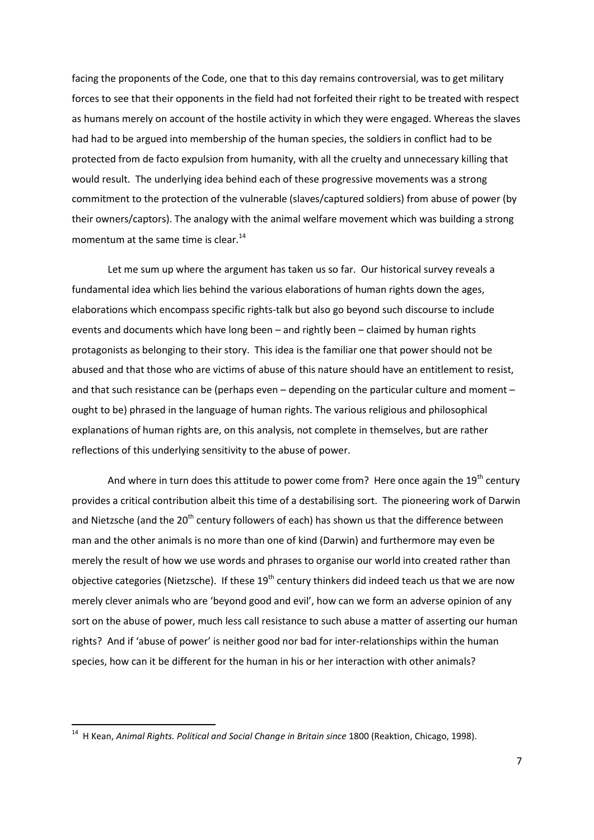facing the proponents of the Code, one that to this day remains controversial, was to get military forces to see that their opponents in the field had not forfeited their right to be treated with respect as humans merely on account of the hostile activity in which they were engaged. Whereas the slaves had had to be argued into membership of the human species, the soldiers in conflict had to be protected from de facto expulsion from humanity, with all the cruelty and unnecessary killing that would result. The underlying idea behind each of these progressive movements was a strong commitment to the protection of the vulnerable (slaves/captured soldiers) from abuse of power (by their owners/captors). The analogy with the animal welfare movement which was building a strong momentum at the same time is clear.<sup>14</sup>

Let me sum up where the argument has taken us so far. Our historical survey reveals a fundamental idea which lies behind the various elaborations of human rights down the ages, elaborations which encompass specific rights-talk but also go beyond such discourse to include events and documents which have long been – and rightly been – claimed by human rights protagonists as belonging to their story. This idea is the familiar one that power should not be abused and that those who are victims of abuse of this nature should have an entitlement to resist, and that such resistance can be (perhaps even – depending on the particular culture and moment – ought to be) phrased in the language of human rights. The various religious and philosophical explanations of human rights are, on this analysis, not complete in themselves, but are rather reflections of this underlying sensitivity to the abuse of power.

And where in turn does this attitude to power come from? Here once again the  $19^{th}$  century provides a critical contribution albeit this time of a destabilising sort. The pioneering work of Darwin and Nietzsche (and the 20<sup>th</sup> century followers of each) has shown us that the difference between man and the other animals is no more than one of kind (Darwin) and furthermore may even be merely the result of how we use words and phrases to organise our world into created rather than objective categories (Nietzsche). If these  $19<sup>th</sup>$  century thinkers did indeed teach us that we are now merely clever animals who are 'beyond good and evil', how can we form an adverse opinion of any sort on the abuse of power, much less call resistance to such abuse a matter of asserting our human rights? And if 'abuse of power' is neither good nor bad for inter-relationships within the human species, how can it be different for the human in his or her interaction with other animals?

1

<sup>&</sup>lt;sup>14</sup> H Kean, Animal Rights. Political and Social Change in Britain since 1800 (Reaktion, Chicago, 1998).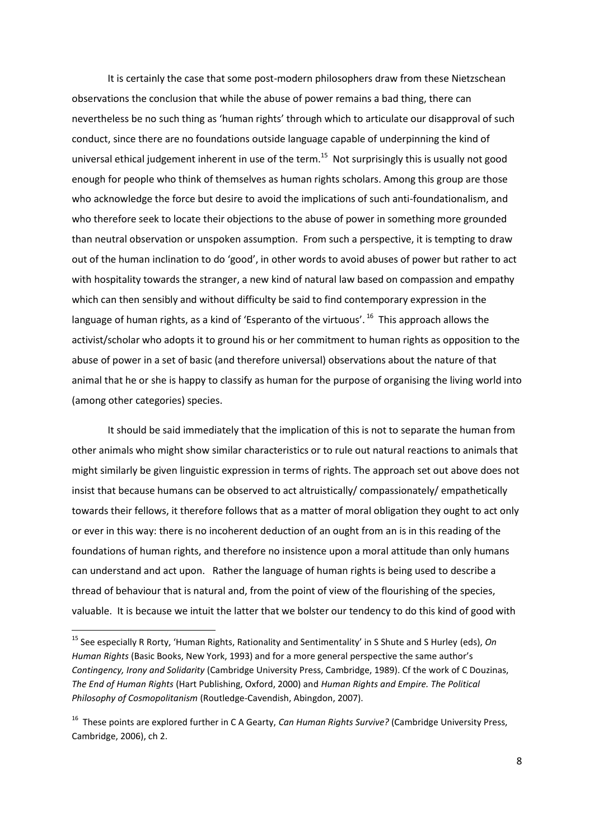It is certainly the case that some post-modern philosophers draw from these Nietzschean observations the conclusion that while the abuse of power remains a bad thing, there can nevertheless be no such thing as 'human rights' through which to articulate our disapproval of such conduct, since there are no foundations outside language capable of underpinning the kind of universal ethical judgement inherent in use of the term.<sup>15</sup> Not surprisingly this is usually not good enough for people who think of themselves as human rights scholars. Among this group are those who acknowledge the force but desire to avoid the implications of such anti-foundationalism, and who therefore seek to locate their objections to the abuse of power in something more grounded than neutral observation or unspoken assumption. From such a perspective, it is tempting to draw out of the human inclination to do 'good', in other words to avoid abuses of power but rather to act with hospitality towards the stranger, a new kind of natural law based on compassion and empathy which can then sensibly and without difficulty be said to find contemporary expression in the language of human rights, as a kind of 'Esperanto of the virtuous'.<sup>16</sup> This approach allows the activist/scholar who adopts it to ground his or her commitment to human rights as opposition to the abuse of power in a set of basic (and therefore universal) observations about the nature of that animal that he or she is happy to classify as human for the purpose of organising the living world into (among other categories) species.

It should be said immediately that the implication of this is not to separate the human from other animals who might show similar characteristics or to rule out natural reactions to animals that might similarly be given linguistic expression in terms of rights. The approach set out above does not insist that because humans can be observed to act altruistically/ compassionately/ empathetically towards their fellows, it therefore follows that as a matter of moral obligation they ought to act only or ever in this way: there is no incoherent deduction of an ought from an is in this reading of the foundations of human rights, and therefore no insistence upon a moral attitude than only humans can understand and act upon. Rather the language of human rights is being used to describe a thread of behaviour that is natural and, from the point of view of the flourishing of the species, valuable. It is because we intuit the latter that we bolster our tendency to do this kind of good with

**.** 

<sup>15</sup> See especially R Rorty, 'Human Rights, Rationality and Sentimentality' in S Shute and S Hurley (eds), *On Human Rights* (Basic Books, New York, 1993) and for a more general perspective the same author's *Contingency, Irony and Solidarity* (Cambridge University Press, Cambridge, 1989). Cf the work of C Douzinas, *The End of Human Rights* (Hart Publishing, Oxford, 2000) and *Human Rights and Empire. The Political Philosophy of Cosmopolitanism* (Routledge-Cavendish, Abingdon, 2007).

<sup>&</sup>lt;sup>16</sup> These points are explored further in C A Gearty, *Can Human Rights Survive?* (Cambridge University Press, Cambridge, 2006), ch 2.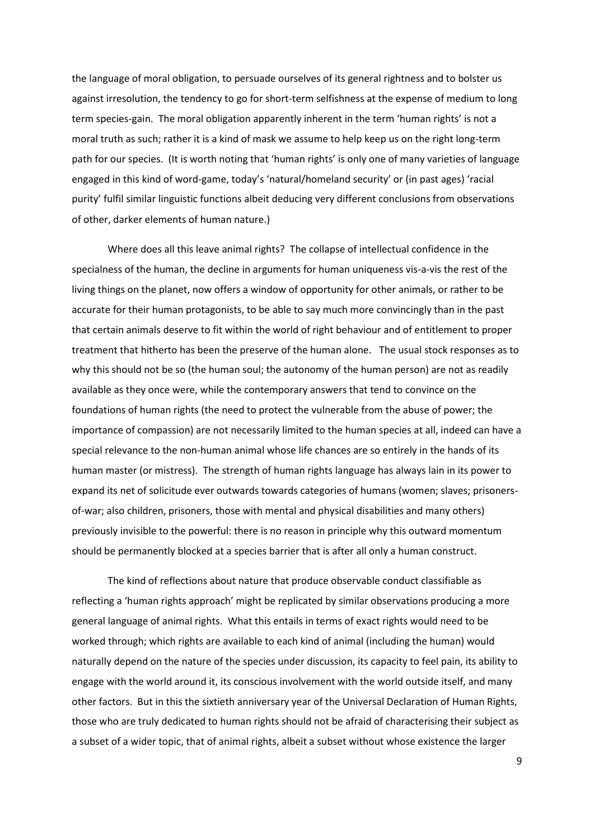the language of moral obligation, to persuade ourselves of its general rightness and to bolster us against irresolution, the tendency to go for short-term selfishness at the expense of medium to long term species-gain. The moral obligation apparently inherent in the term 'human rights' is not a moral truth as such; rather it is a kind of mask we assume to help keep us on the right long-term path for our species. (It is worth noting that 'human rights' is only one of many varieties of language engaged in this kind of word-game, today's 'natural/homeland security' or (in past ages) 'racial purity' fulfil similar linguistic functions albeit deducing very different conclusions from observations of other, darker elements of human nature.)

Where does all this leave animal rights? The collapse of intellectual confidence in the specialness of the human, the decline in arguments for human uniqueness vis-a-vis the rest of the living things on the planet, now offers a window of opportunity for other animals, or rather to be accurate for their human protagonists, to be able to say much more convincingly than in the past that certain animals deserve to fit within the world of right behaviour and of entitlement to proper treatment that hitherto has been the preserve of the human alone. The usual stock responses as to why this should not be so (the human soul; the autonomy of the human person) are not as readily available as they once were, while the contemporary answers that tend to convince on the foundations of human rights (the need to protect the vulnerable from the abuse of power; the importance of compassion) are not necessarily limited to the human species at all, indeed can have a special relevance to the non-human animal whose life chances are so entirely in the hands of its human master (or mistress). The strength of human rights language has always lain in its power to expand its net of solicitude ever outwards towards categories of humans (women; slaves; prisonersof-war; also children, prisoners, those with mental and physical disabilities and many others) previously invisible to the powerful: there is no reason in principle why this outward momentum should be permanently blocked at a species barrier that is after all only a human construct.

The kind of reflections about nature that produce observable conduct classifiable as reflecting a 'human rights approach' might be replicated by similar observations producing a more general language of animal rights. What this entails in terms of exact rights would need to be worked through; which rights are available to each kind of animal (including the human) would naturally depend on the nature of the species under discussion, its capacity to feel pain, its ability to engage with the world around it, its conscious involvement with the world outside itself, and many other factors. But in this the sixtieth anniversary year of the Universal Declaration of Human Rights, those who are truly dedicated to human rights should not be afraid of characterising their subject as a subset of a wider topic, that of animal rights, albeit a subset without whose existence the larger

9